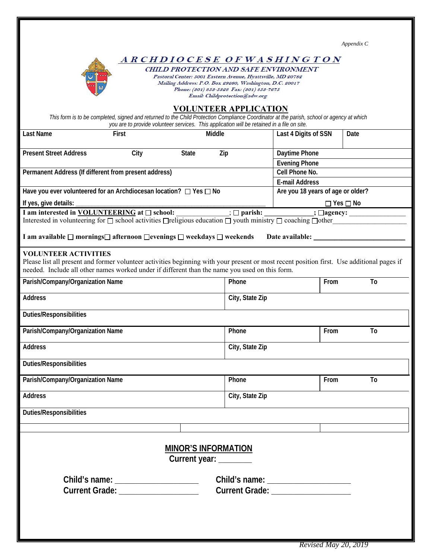|                                                                                                                                                                                                                                          |                                                                                                                        |                                   |                 |                       |                      | Appendix C |    |  |  |
|------------------------------------------------------------------------------------------------------------------------------------------------------------------------------------------------------------------------------------------|------------------------------------------------------------------------------------------------------------------------|-----------------------------------|-----------------|-----------------------|----------------------|------------|----|--|--|
|                                                                                                                                                                                                                                          |                                                                                                                        |                                   |                 |                       |                      |            |    |  |  |
| ARCHDIOCESE OF WASHING TON                                                                                                                                                                                                               |                                                                                                                        |                                   |                 |                       |                      |            |    |  |  |
| <b>CHILD PROTECTION AND SAFE ENVIRONMENT</b>                                                                                                                                                                                             |                                                                                                                        |                                   |                 |                       |                      |            |    |  |  |
|                                                                                                                                                                                                                                          | Pastoral Center: 5001 Eastern Avenue, Hyattsville, MD 20782<br>Mailing Address: P.O. Box 29260, Washington, D.C. 20017 |                                   |                 |                       |                      |            |    |  |  |
|                                                                                                                                                                                                                                          | Phone: (301) 853-5328 Fax: (301) 853-7675                                                                              |                                   |                 |                       |                      |            |    |  |  |
| Email: Childprotection@adw.org                                                                                                                                                                                                           |                                                                                                                        |                                   |                 |                       |                      |            |    |  |  |
| <b>VOLUNTEER APPLICATION</b>                                                                                                                                                                                                             |                                                                                                                        |                                   |                 |                       |                      |            |    |  |  |
| This form is to be completed, signed and returned to the Child Protection Compliance Coordinator at the parish, school or agency at which<br>you are to provide volunteer services. This application will be retained in a file on site. |                                                                                                                        |                                   |                 |                       |                      |            |    |  |  |
|                                                                                                                                                                                                                                          |                                                                                                                        |                                   |                 |                       |                      |            |    |  |  |
| Last Name                                                                                                                                                                                                                                | First                                                                                                                  | <b>Middle</b>                     |                 | Last 4 Digits of SSN  |                      | Date       |    |  |  |
|                                                                                                                                                                                                                                          |                                                                                                                        |                                   |                 |                       |                      |            |    |  |  |
| <b>Present Street Address</b><br>City<br><b>State</b><br>Zip                                                                                                                                                                             |                                                                                                                        |                                   |                 | Daytime Phone         |                      |            |    |  |  |
|                                                                                                                                                                                                                                          |                                                                                                                        |                                   |                 |                       | <b>Evening Phone</b> |            |    |  |  |
| Permanent Address (If different from present address)                                                                                                                                                                                    |                                                                                                                        |                                   |                 | Cell Phone No.        |                      |            |    |  |  |
|                                                                                                                                                                                                                                          |                                                                                                                        |                                   |                 | <b>E-mail Address</b> |                      |            |    |  |  |
| Have you ever volunteered for an Archdiocesan location? □ Yes □ No                                                                                                                                                                       |                                                                                                                        | Are you 18 years of age or older? |                 |                       |                      |            |    |  |  |
|                                                                                                                                                                                                                                          |                                                                                                                        |                                   |                 |                       |                      |            |    |  |  |
| If yes, give details:                                                                                                                                                                                                                    |                                                                                                                        | $\Box$ Yes $\Box$ No              |                 |                       |                      |            |    |  |  |
| I am interested in <b>VOLUNTEERING</b> at $\square$ school: $\qquad \qquad \qquad$ $\Box$ parish:                                                                                                                                        |                                                                                                                        | $\therefore$ $\Box$ agency:       |                 |                       |                      |            |    |  |  |
| Interested in volunteering for $\square$ school activities $\square$ religious education $\square$ youth ministry $\square$ coaching $\square$ other                                                                                     |                                                                                                                        |                                   |                 |                       |                      |            |    |  |  |
| I am available □ mornings□ afternoon □evenings □ weekdays □ weekends                                                                                                                                                                     |                                                                                                                        |                                   |                 |                       |                      |            |    |  |  |
|                                                                                                                                                                                                                                          |                                                                                                                        |                                   |                 |                       |                      |            |    |  |  |
| <b>VOLUNTEER ACTIVITIES</b>                                                                                                                                                                                                              |                                                                                                                        |                                   |                 |                       |                      |            |    |  |  |
| Please list all present and former volunteer activities beginning with your present or most recent position first. Use additional pages if                                                                                               |                                                                                                                        |                                   |                 |                       |                      |            |    |  |  |
| needed. Include all other names worked under if different than the name you used on this form.                                                                                                                                           |                                                                                                                        |                                   |                 |                       |                      |            |    |  |  |
| Parish/Company/Organization Name                                                                                                                                                                                                         |                                                                                                                        |                                   | Phone           |                       | From                 |            | To |  |  |
|                                                                                                                                                                                                                                          |                                                                                                                        |                                   |                 |                       |                      |            |    |  |  |
| Address                                                                                                                                                                                                                                  |                                                                                                                        |                                   | City, State Zip |                       |                      |            |    |  |  |
|                                                                                                                                                                                                                                          |                                                                                                                        |                                   |                 |                       |                      |            |    |  |  |
| <b>Duties/Responsibilities</b>                                                                                                                                                                                                           |                                                                                                                        |                                   |                 |                       |                      |            |    |  |  |
|                                                                                                                                                                                                                                          |                                                                                                                        |                                   | Phone           |                       | From                 |            | To |  |  |
| Parish/Company/Organization Name                                                                                                                                                                                                         |                                                                                                                        |                                   |                 |                       |                      |            |    |  |  |
| <b>Address</b>                                                                                                                                                                                                                           |                                                                                                                        |                                   | City, State Zip |                       |                      |            |    |  |  |
|                                                                                                                                                                                                                                          |                                                                                                                        |                                   |                 |                       |                      |            |    |  |  |
| <b>Duties/Responsibilities</b>                                                                                                                                                                                                           |                                                                                                                        |                                   |                 |                       |                      |            |    |  |  |
|                                                                                                                                                                                                                                          |                                                                                                                        |                                   |                 |                       |                      |            |    |  |  |
| Parish/Company/Organization Name                                                                                                                                                                                                         |                                                                                                                        |                                   | Phone           | From                  |                      | To         |    |  |  |
|                                                                                                                                                                                                                                          |                                                                                                                        |                                   |                 |                       |                      |            |    |  |  |
| Address                                                                                                                                                                                                                                  | City, State Zip                                                                                                        |                                   |                 |                       |                      |            |    |  |  |
| <b>Duties/Responsibilities</b>                                                                                                                                                                                                           |                                                                                                                        |                                   |                 |                       |                      |            |    |  |  |
|                                                                                                                                                                                                                                          |                                                                                                                        |                                   |                 |                       |                      |            |    |  |  |
|                                                                                                                                                                                                                                          |                                                                                                                        |                                   |                 |                       |                      |            |    |  |  |
|                                                                                                                                                                                                                                          |                                                                                                                        |                                   |                 |                       |                      |            |    |  |  |
|                                                                                                                                                                                                                                          |                                                                                                                        |                                   |                 |                       |                      |            |    |  |  |
| <b>MINOR'S INFORMATION</b>                                                                                                                                                                                                               |                                                                                                                        |                                   |                 |                       |                      |            |    |  |  |
|                                                                                                                                                                                                                                          |                                                                                                                        | Current year: _______             |                 |                       |                      |            |    |  |  |
|                                                                                                                                                                                                                                          |                                                                                                                        |                                   |                 |                       |                      |            |    |  |  |
|                                                                                                                                                                                                                                          |                                                                                                                        |                                   |                 |                       |                      |            |    |  |  |
| Current Grade: New York Current Card                                                                                                                                                                                                     |                                                                                                                        |                                   |                 |                       |                      |            |    |  |  |
| Current Grade: New York Current Card                                                                                                                                                                                                     |                                                                                                                        |                                   |                 |                       |                      |            |    |  |  |
|                                                                                                                                                                                                                                          |                                                                                                                        |                                   |                 |                       |                      |            |    |  |  |
|                                                                                                                                                                                                                                          |                                                                                                                        |                                   |                 |                       |                      |            |    |  |  |
|                                                                                                                                                                                                                                          |                                                                                                                        |                                   |                 |                       |                      |            |    |  |  |
|                                                                                                                                                                                                                                          |                                                                                                                        |                                   |                 |                       |                      |            |    |  |  |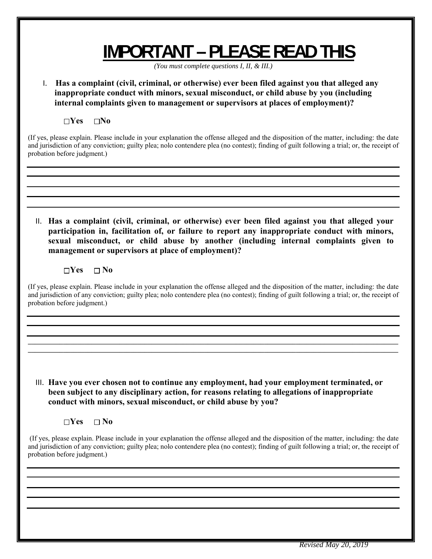## **IMPORTANT – PLEASE READ THIS**

*(You must complete questions I, II, & III.)* 

I. **Has a complaint (civil, criminal, or otherwise) ever been filed against you that alleged any inappropriate conduct with minors, sexual misconduct, or child abuse by you (including internal complaints given to management or supervisors at places of employment)?**

**Yes No**

(If yes, please explain. Please include in your explanation the offense alleged and the disposition of the matter, including: the date and jurisdiction of any conviction; guilty plea; nolo contendere plea (no contest); finding of guilt following a trial; or, the receipt of probation before judgment.)

II. **Has a complaint (civil, criminal, or otherwise) ever been filed against you that alleged your participation in, facilitation of, or failure to report any inappropriate conduct with minors, sexual misconduct, or child abuse by another (including internal complaints given to management or supervisors at place of employment)?**

 $\neg$ Yes  $\neg$  No

(If yes, please explain. Please include in your explanation the offense alleged and the disposition of the matter, including: the date and jurisdiction of any conviction; guilty plea; nolo contendere plea (no contest); finding of guilt following a trial; or, the receipt of probation before judgment.)

**\_\_\_\_\_\_\_\_\_\_\_\_\_\_\_\_\_\_\_\_\_\_\_\_\_\_\_\_\_\_\_\_\_\_\_\_\_\_\_\_\_\_\_\_\_\_\_\_\_\_\_\_\_\_\_\_\_\_\_\_\_\_\_\_\_\_\_\_\_\_\_\_\_\_\_\_\_\_\_\_\_\_\_\_\_\_\_\_\_\_\_\_\_\_\_\_\_\_\_\_\_\_\_\_\_**

III. **Have you ever chosen not to continue any employment, had your employment terminated, or been subject to any disciplinary action, for reasons relating to allegations of inappropriate conduct with minors, sexual misconduct, or child abuse by you?**

**Yes No**

 (If yes, please explain. Please include in your explanation the offense alleged and the disposition of the matter, including: the date and jurisdiction of any conviction; guilty plea; nolo contendere plea (no contest); finding of guilt following a trial; or, the receipt of probation before judgment.)